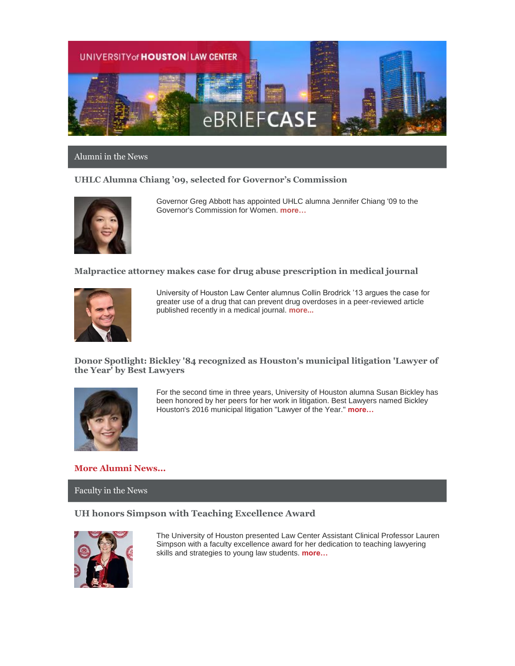

#### Alumni in the News

### **UHLC Alumna Chiang '09, selected for Governor's Commission**



Governor Greg Abbott has appointed UHLC alumna Jennifer Chiang '09 to the Governor's Commission for Women. **[more…](http://gov.texas.gov/news/appointment/22121)**

### **Malpractice attorney makes case for drug abuse prescription in medical journal**



University of Houston Law Center alumnus Collin Brodrick '13 argues the case for greater use of a drug that can prevent drug overdoses in a peer-reviewed article published recently in a medical journal. **[more...](http://www.law.uh.edu/alumni/Featured-Alumni/2016-0304Brodrick.asp)**

**Donor Spotlight: Bickley '84 recognized as Houston's municipal litigation 'Lawyer of the Year' by Best Lawyers** 



For the second time in three years, University of Houston alumna Susan Bickley has been honored by her peers for her work in litigation. Best Lawyers named Bickley Houston's 2016 municipal litigation "Lawyer of the Year." **[more…](http://law.uh.edu/alumni/Featured-Alumni/2016-0428Bickley.asp)**

### **[More Alumni News...](http://www.law.uh.edu/alumni/alumni-in-the-news.asp)**

#### Faculty in the News

### **UH honors Simpson with Teaching Excellence Award**



The University of Houston presented Law Center Assistant Clinical Professor Lauren Simpson with a faculty excellence award for her dedication to teaching lawyering skills and strategies to young law students. **[more…](http://www.law.uh.edu/news/spring2016/0415Simpson.asp)**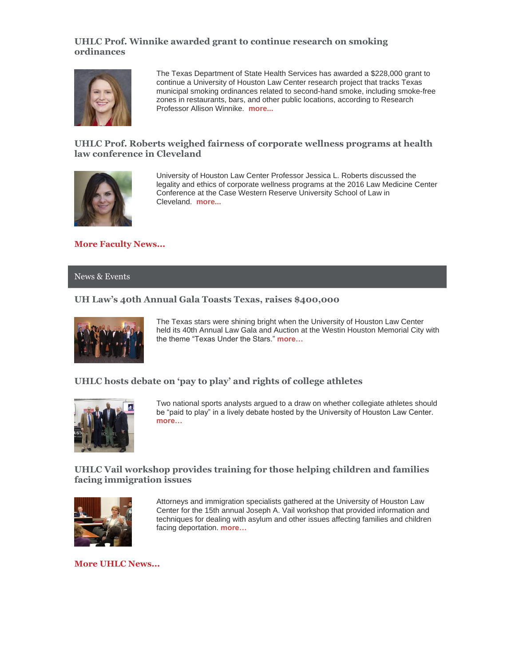# **UHLC Prof. Winnike awarded grant to continue research on smoking ordinances**



The Texas Department of State Health Services has awarded a \$228,000 grant to continue a University of Houston Law Center research project that tracks Texas municipal smoking ordinances related to second-hand smoke, including smoke-free zones in restaurants, bars, and other public locations, according to Research Professor Allison Winnike. **[more...](http://www.law.uh.edu/news/spring2016/0411Winnike.asp)**

# **UHLC Prof. Roberts weighed fairness of corporate wellness programs at health law conference in Cleveland**



University of Houston Law Center Professor Jessica L. Roberts discussed the legality and ethics of corporate wellness programs at the 2016 Law Medicine Center Conference at the Case Western Reserve University School of Law in Cleveland. **[more...](http://www.law.uh.edu/news/spring2016/0407Roberts.asp)**

**[More Faculty News...](http://www.law.uh.edu/news/uhlc-in-the-news.asp)**

#### News & Events

# **UH Law's 40th Annual Gala Toasts Texas, raises \$400,000**



The Texas stars were shining bright when the University of Houston Law Center held its 40th Annual Law Gala and Auction at the Westin Houston Memorial City with the theme "Texas Under the Stars." **[more…](http://www.law.uh.edu/news/spring2016/0407Gala.asp)**

# **UHLC hosts debate on 'pay to play' and rights of college athletes**



Two national sports analysts argued to a draw on whether collegiate athletes should be "paid to play" in a lively debate hosted by the University of Houston Law Center. **[more…](http://www.law.uh.edu/news/spring2016/0401Sports.asp)**

### **UHLC Vail workshop provides training for those helping children and families facing immigration issues**



Attorneys and immigration specialists gathered at the University of Houston Law Center for the 15th annual Joseph A. Vail workshop that provided information and techniques for dealing with asylum and other issues affecting families and children facing deportation. **[more…](http://www.law.uh.edu/news/spring2016/0413Vail.asp)**

**[More UHLC News...](http://www.law.uh.edu/news/homepage.asp)**